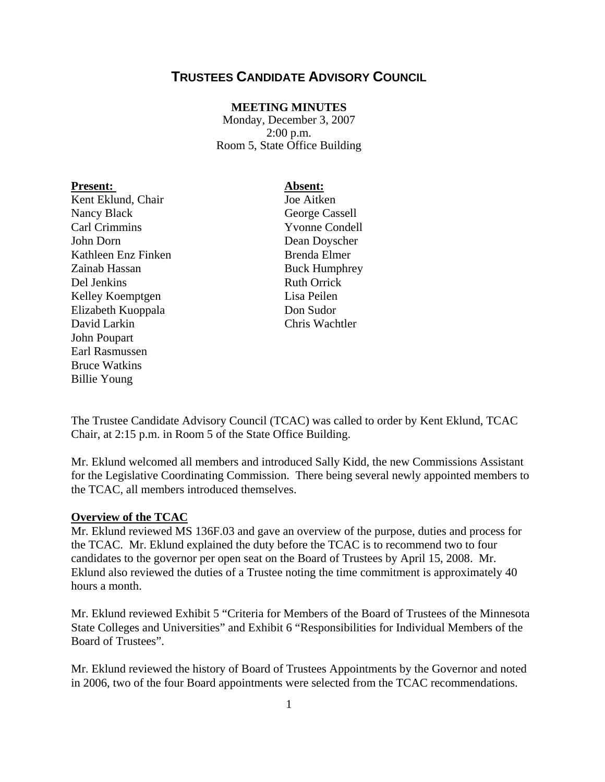# **TRUSTEES CANDIDATE ADVISORY COUNCIL**

#### **MEETING MINUTES**

Monday, December 3, 2007 2:00 p.m. Room 5, State Office Building

### Present: Absent: Kent Eklund, Chair Joe Aitken Nancy Black George Cassell Carl Crimmins Yvonne Condell John Dorn Dean Doyscher Kathleen Enz Finken Brenda Elmer Zainab Hassan Buck Humphrey Del Jenkins Ruth Orrick Kelley Koemptgen Lisa Peilen Elizabeth Kuoppala Don Sudor David Larkin Chris Wachtler John Poupart Earl Rasmussen Bruce Watkins Billie Young

The Trustee Candidate Advisory Council (TCAC) was called to order by Kent Eklund, TCAC Chair, at 2:15 p.m. in Room 5 of the State Office Building.

Mr. Eklund welcomed all members and introduced Sally Kidd, the new Commissions Assistant for the Legislative Coordinating Commission. There being several newly appointed members to the TCAC, all members introduced themselves.

#### **Overview of the TCAC**

Mr. Eklund reviewed MS 136F.03 and gave an overview of the purpose, duties and process for the TCAC. Mr. Eklund explained the duty before the TCAC is to recommend two to four candidates to the governor per open seat on the Board of Trustees by April 15, 2008. Mr. Eklund also reviewed the duties of a Trustee noting the time commitment is approximately 40 hours a month.

Mr. Eklund reviewed Exhibit 5 "Criteria for Members of the Board of Trustees of the Minnesota State Colleges and Universities" and Exhibit 6 "Responsibilities for Individual Members of the Board of Trustees".

Mr. Eklund reviewed the history of Board of Trustees Appointments by the Governor and noted in 2006, two of the four Board appointments were selected from the TCAC recommendations.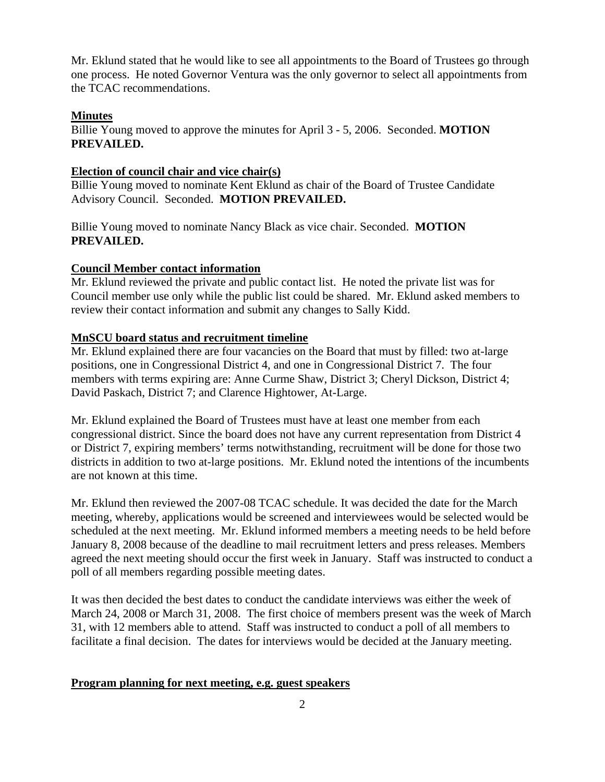Mr. Eklund stated that he would like to see all appointments to the Board of Trustees go through one process. He noted Governor Ventura was the only governor to select all appointments from the TCAC recommendations.

#### **Minutes**

Billie Young moved to approve the minutes for April 3 - 5, 2006. Seconded. **MOTION PREVAILED.** 

#### **Election of council chair and vice chair(s)**

Billie Young moved to nominate Kent Eklund as chair of the Board of Trustee Candidate Advisory Council. Seconded. **MOTION PREVAILED.** 

Billie Young moved to nominate Nancy Black as vice chair. Seconded. **MOTION PREVAILED.** 

### **Council Member contact information**

Mr. Eklund reviewed the private and public contact list. He noted the private list was for Council member use only while the public list could be shared. Mr. Eklund asked members to review their contact information and submit any changes to Sally Kidd.

#### **MnSCU board status and recruitment timeline**

Mr. Eklund explained there are four vacancies on the Board that must by filled: two at-large positions, one in Congressional District 4, and one in Congressional District 7. The four members with terms expiring are: Anne Curme Shaw, District 3; Cheryl Dickson, District 4; David Paskach, District 7; and Clarence Hightower, At-Large.

Mr. Eklund explained the Board of Trustees must have at least one member from each congressional district. Since the board does not have any current representation from District 4 or District 7, expiring members' terms notwithstanding, recruitment will be done for those two districts in addition to two at-large positions. Mr. Eklund noted the intentions of the incumbents are not known at this time.

Mr. Eklund then reviewed the 2007-08 TCAC schedule. It was decided the date for the March meeting, whereby, applications would be screened and interviewees would be selected would be scheduled at the next meeting. Mr. Eklund informed members a meeting needs to be held before January 8, 2008 because of the deadline to mail recruitment letters and press releases. Members agreed the next meeting should occur the first week in January. Staff was instructed to conduct a poll of all members regarding possible meeting dates.

It was then decided the best dates to conduct the candidate interviews was either the week of March 24, 2008 or March 31, 2008. The first choice of members present was the week of March 31, with 12 members able to attend. Staff was instructed to conduct a poll of all members to facilitate a final decision. The dates for interviews would be decided at the January meeting.

#### **Program planning for next meeting, e.g. guest speakers**